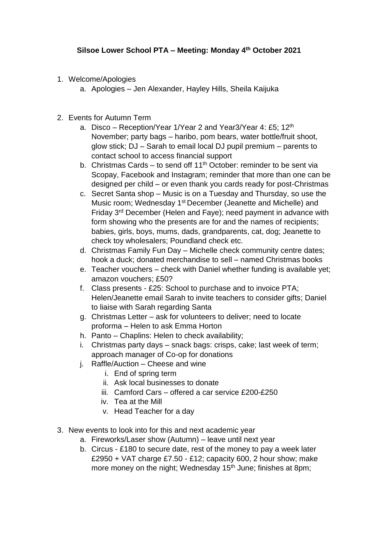- 1. Welcome/Apologies
	- a. Apologies Jen Alexander, Hayley Hills, Sheila Kaijuka
- 2. Events for Autumn Term
	- a. Disco Reception/Year 1/Year 2 and Year3/Year 4: £5; 12<sup>th</sup> November; party bags – haribo, pom bears, water bottle/fruit shoot, glow stick; DJ – Sarah to email local DJ pupil premium – parents to contact school to access financial support
	- b. Christmas Cards to send off  $11<sup>th</sup>$  October: reminder to be sent via Scopay, Facebook and Instagram; reminder that more than one can be designed per child – or even thank you cards ready for post-Christmas
	- c. Secret Santa shop Music is on a Tuesday and Thursday, so use the Music room; Wednesday 1st December (Jeanette and Michelle) and Friday 3rd December (Helen and Faye); need payment in advance with form showing who the presents are for and the names of recipients; babies, girls, boys, mums, dads, grandparents, cat, dog; Jeanette to check toy wholesalers; Poundland check etc.
	- d. Christmas Family Fun Day Michelle check community centre dates; hook a duck; donated merchandise to sell – named Christmas books
	- e. Teacher vouchers check with Daniel whether funding is available yet; amazon vouchers; £50?
	- f. Class presents £25: School to purchase and to invoice PTA; Helen/Jeanette email Sarah to invite teachers to consider gifts; Daniel to liaise with Sarah regarding Santa
	- g. Christmas Letter ask for volunteers to deliver; need to locate proforma – Helen to ask Emma Horton
	- h. Panto Chaplins: Helen to check availability;
	- i. Christmas party days snack bags: crisps, cake; last week of term; approach manager of Co-op for donations
	- j. Raffle/Auction Cheese and wine
		- i. End of spring term
		- ii. Ask local businesses to donate
		- iii. Camford Cars offered a car service £200-£250
		- iv. Tea at the Mill
		- v. Head Teacher for a day
- 3. New events to look into for this and next academic year
	- a. Fireworks/Laser show (Autumn) leave until next year
	- b. Circus £180 to secure date, rest of the money to pay a week later £2950 + VAT charge £7.50 - £12; capacity 600, 2 hour show; make more money on the night; Wednesday 15<sup>th</sup> June; finishes at 8pm;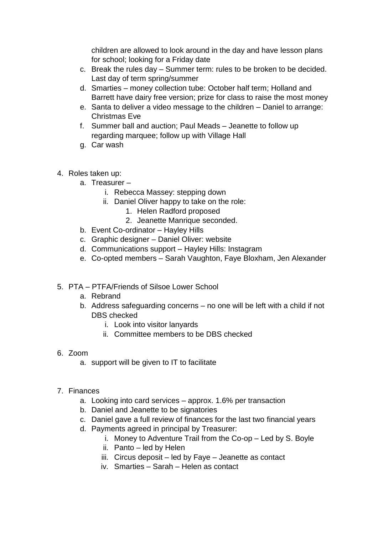children are allowed to look around in the day and have lesson plans for school; looking for a Friday date

- c. Break the rules day Summer term: rules to be broken to be decided. Last day of term spring/summer
- d. Smarties money collection tube: October half term; Holland and Barrett have dairy free version; prize for class to raise the most money
- e. Santa to deliver a video message to the children Daniel to arrange: Christmas Eve
- f. Summer ball and auction; Paul Meads Jeanette to follow up regarding marquee; follow up with Village Hall
- g. Car wash
- 4. Roles taken up:
	- a. Treasurer
		- i. Rebecca Massey: stepping down
		- ii. Daniel Oliver happy to take on the role:
			- 1. Helen Radford proposed
			- 2. Jeanette Manrique seconded.
	- b. Event Co-ordinator Hayley Hills
	- c. Graphic designer Daniel Oliver: website
	- d. Communications support Hayley Hills: Instagram
	- e. Co-opted members Sarah Vaughton, Faye Bloxham, Jen Alexander
- 5. PTA PTFA/Friends of Silsoe Lower School
	- a. Rebrand
	- b. Address safeguarding concerns no one will be left with a child if not DBS checked
		- i. Look into visitor lanyards
		- ii. Committee members to be DBS checked
- 6. Zoom
	- a. support will be given to IT to facilitate
- 7. Finances
	- a. Looking into card services approx. 1.6% per transaction
	- b. Daniel and Jeanette to be signatories
	- c. Daniel gave a full review of finances for the last two financial years
	- d. Payments agreed in principal by Treasurer:
		- i. Money to Adventure Trail from the Co-op Led by S. Boyle
		- ii. Panto led by Helen
		- iii. Circus deposit led by Faye Jeanette as contact
		- iv. Smarties Sarah Helen as contact